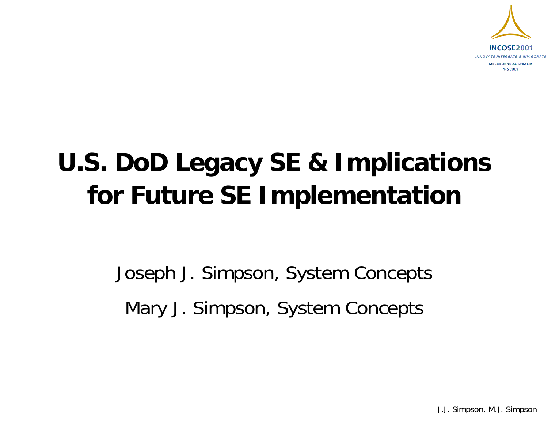

# **U.S. DoD Legacy SE & Implications for Future SE Implementation**

Joseph J. Simpson, System Concepts Mary J. Simpson, System Concepts

J.J. Simpson, M.J. Simpson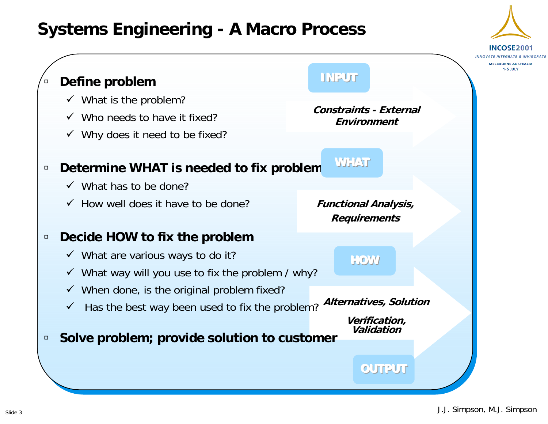### **Systems Engineering - A Macro Process**

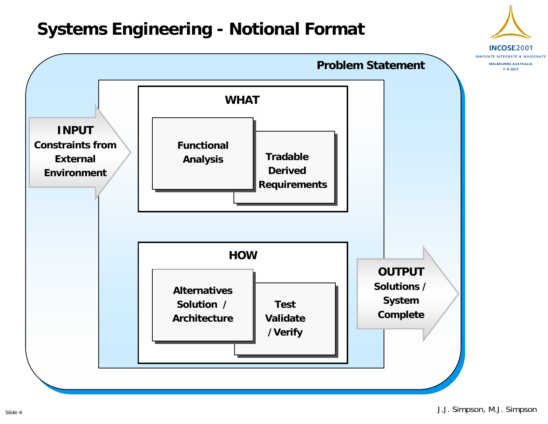### **Systems Engineering - Notional Format**



Slide 4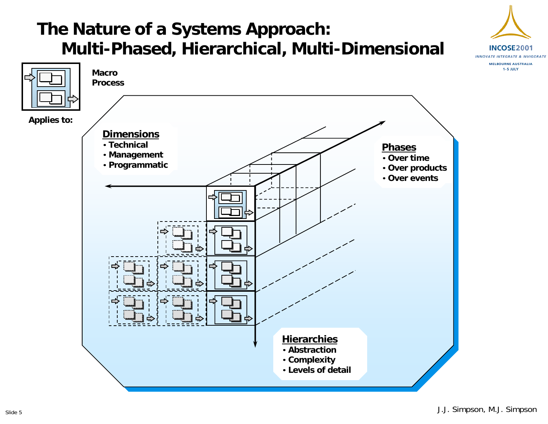### **The Nature of a Systems Approach: Multi-Phased, Hierarchical, Multi-Dimensional**



INCOSE2001 INNOVATE INTEGRATE & INVIGORATE **MELBOURNE AUSTRALIA** 1-5 JULY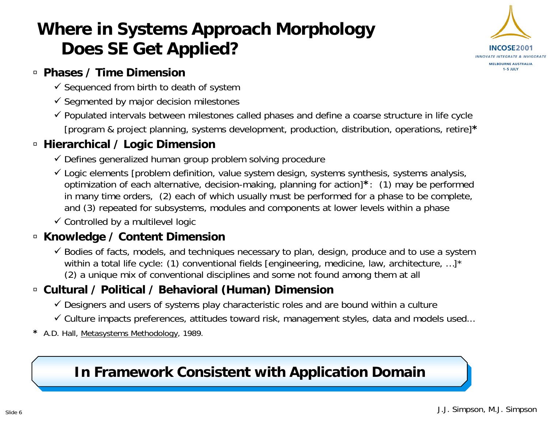# **Where in Systems Approach Morphology Does SE Get Applied?**



#### à **Phases / Time Dimension**

- $\checkmark$  Sequenced from birth to death of system
- $\checkmark$  Segmented by major decision milestones
- $\checkmark$  Populated intervals between milestones called phases and define a coarse structure in life cycle [program & project planning, systems development, production, distribution, operations, retire]**\***

#### à **Hierarchical / Logic Dimension**

- $\checkmark$  Defines generalized human group problem solving procedure
- $\checkmark$  Logic elements [problem definition, value system design, systems synthesis, systems analysis, optimization of each alternative, decision-making, planning for action]**\***: (1) may be performed in many time orders, (2) each of which usually must be performed for a phase to be complete, and (3) repeated for subsystems, modules and components at lower levels within a phase

 $\checkmark$  Controlled by a multilevel logic

#### à **Knowledge / Content Dimension**

 $\checkmark$  Bodies of facts, models, and techniques necessary to plan, design, produce and to use a system within a total life cycle: (1) conventional fields [engineering, medicine, law, architecture, ...]\* (2) a unique mix of conventional disciplines and some not found among them at all

#### à **Cultural / Political / Behavioral (Human) Dimension**

- $\checkmark$  Designers and users of systems play characteristic roles and are bound within a culture
- $\checkmark$  Culture impacts preferences, attitudes toward risk, management styles, data and models used...
- **\*** A.D. Hall, Metasystems Methodology, 1989.

#### **In Framework Consistent with Application Domain In Framework Consistent with Application Domain**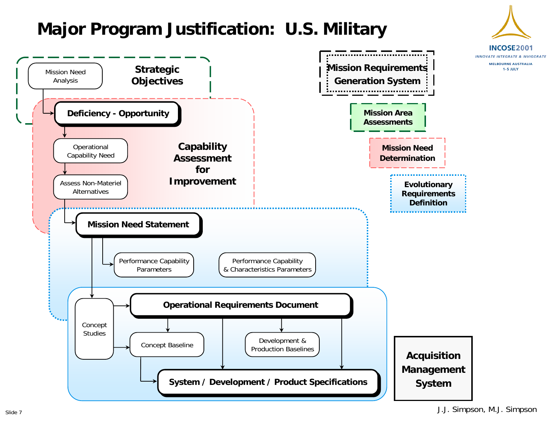### **Major Program Justification: U.S. Military**

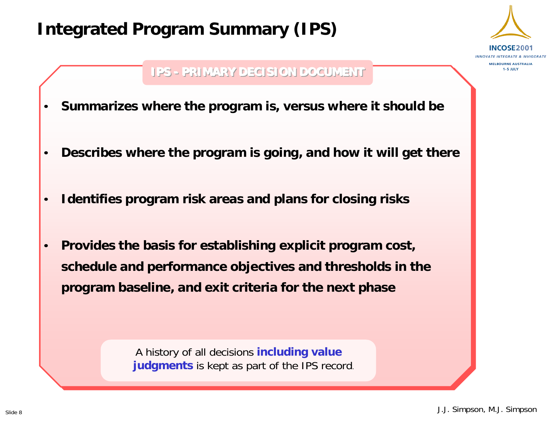### **Integrated Program Summary (IPS)**



#### **IPS IPS-- PRIMARY DECISION PRIMARY DECISION PRIMARY DECISION DOCUMENT DOCUMENT DOCUMENT**

- •**Summarizes where the program is, versus where it should be**
- •**Describes where the program is going, and how it will get there**
- •**Identifies program risk areas and plans for closing risks**
- • **Provides the basis for establishing explicit program cost, schedule and performance objectives and thresholds in the program baseline, and exit criteria for the next phase**

A history of all decisions **including value judgments** is kept as part of the IPS record.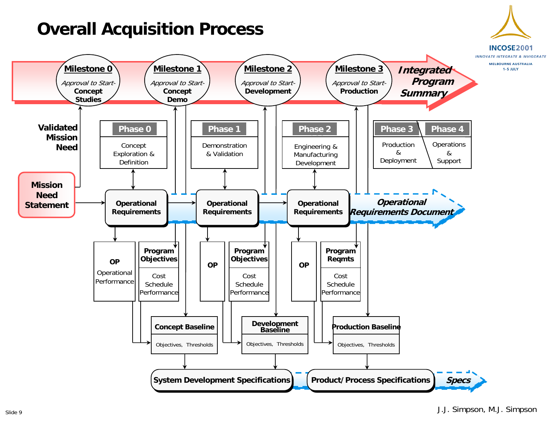### **Overall Acquisition Process**

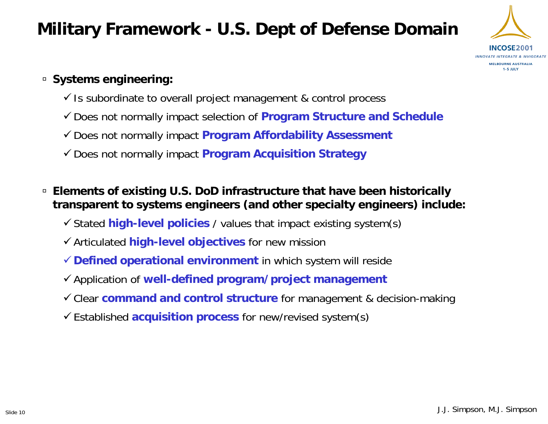### **Military Framework - U.S. Dept of Defense Domain**



#### à **Systems engineering:**

- $\checkmark$  is subordinate to overall project management & control process
- <sup>9</sup>Does not normally impact selection of **Program Structure and Schedule**
- <sup>9</sup>Does not normally impact **Program Affordability Assessment**
- ◆ Does not normally impact **Program Acquisition Strategy**
- à **Elements of existing U.S. DoD infrastructure that have been historically transparent to systems engineers (and other specialty engineers) include:**
	- $\checkmark$  Stated **high-level policies** / values that impact existing system(s)
	- <sup>9</sup>Articulated **high-level objectives** for new mission
	- <sup>9</sup>**Defined operational environment** in which system will reside
	- <sup>9</sup>Application of **well-defined program/project management**
	- 9Clear **command and control structure** for management & decision-making
	- <sup>9</sup>Established **acquisition process** for new/revised system(s)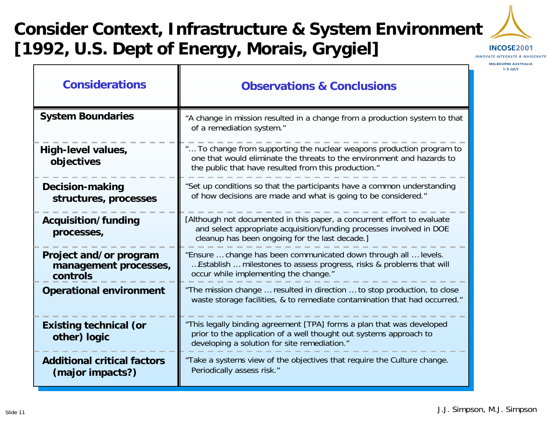# **Consider Context, Infrastructure & System Environment [1992, U.S. Dept of Energy, Morais, Grygiel]**

Т



INCOSE2001 INNOVATE INTEGRATE & INVIGORATE

> **MELBOURNE AUSTRALIA** 1-5 JULY

| <b>Considerations</b>                                       | <b>Observations &amp; Conclusions</b>                                                                                                                                                                   |
|-------------------------------------------------------------|---------------------------------------------------------------------------------------------------------------------------------------------------------------------------------------------------------|
| <b>System Boundaries</b>                                    | "A change in mission resulted in a change from a production system to that<br>of a remediation system."                                                                                                 |
| High-level values,<br>objectives                            | " To change from supporting the nuclear weapons production program to<br>one that would eliminate the threats to the environment and hazards to<br>the public that have resulted from this production." |
| <b>Decision-making</b><br>structures, processes             | "Set up conditions so that the participants have a common understanding<br>of how decisions are made and what is going to be considered."                                                               |
| Acquisition/funding<br>processes,                           | [Although not documented in this paper, a concurrent effort to evaluate<br>and select appropriate acquisition/funding processes involved in DOE<br>cleanup has been ongoing for the last decade.]       |
| Project and/or program<br>management processes,<br>controls | "Ensure  change has been communicated down through all  levels.<br>Establish  milestones to assess progress, risks & problems that will<br>occur while implementing the change."                        |
| <b>Operational environment</b>                              | "The mission change  resulted in direction  to stop production, to close<br>waste storage facilities, & to remediate contamination that had occurred."                                                  |
| <b>Existing technical (or</b><br>other) logic               | "This legally binding agreement [TPA] forms a plan that was developed<br>prior to the application of a well thought out systems approach to<br>developing a solution for site remediation."             |
| <b>Additional critical factors</b><br>(major impacts?)      | "Take a systems view of the objectives that require the Culture change.<br>Periodically assess risk."                                                                                                   |

 $\Gamma$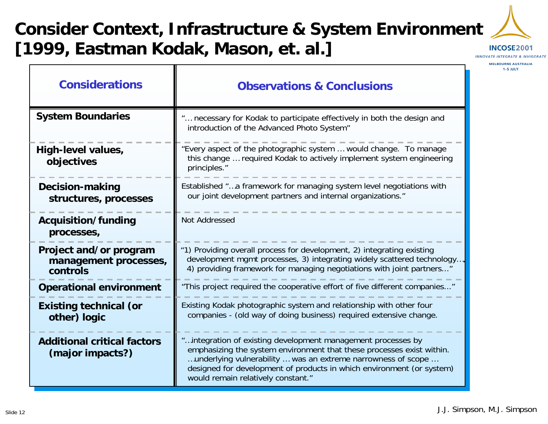# **Consider Context, Infrastructure & System Environment [1999, Eastman Kodak, Mason, et. al.]**



**1-5 JULY** 

**MELBOURNE AUSTRALIA Considerations Observations & ConclusionsSystem Boundaries** "… necessary for Kodak to participate effectively in both the design and introduction of the Advanced Photo System" "Every aspect of the photographic system … would change. To manage **High-level values,**  this change … required Kodak to actively implement system engineering **objectives** principles." Established "…a framework for managing system level negotiations with **Decision-making**  our joint development partners and internal organizations." **structures, processes** Not Addressed**Acquisition/funding processes, Project and/or program**  "1) Providing overall process for development, 2) integrating existing development mgmt processes, 3) integrating widely scattered technology…, **management processes,**  4) providing framework for managing negotiations with joint partners..." **controls**"This project required the cooperative effort of five different companies..." **Operational environment Existing technical (or** Existing Kodak photographic system and relationship with other four companies - (old way of doing business) required extensive change. **other) logic** "…integration of existing development management processes by **Additional critical factors** emphasizing the system environment that these processes exist within. **(major impacts?)** …underlying vulnerability … was an extreme narrowness of scope … designed for development of products in which environment (or system) would remain relatively constant."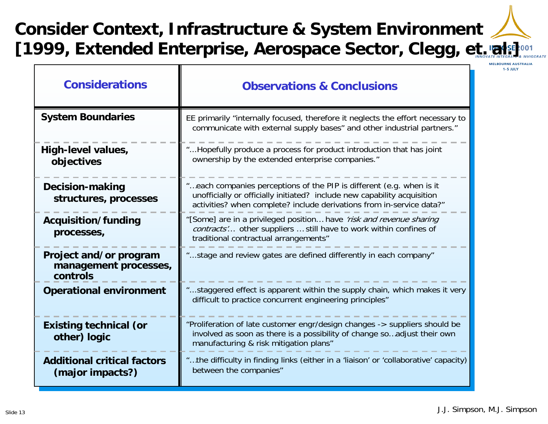# **Consider Context, Infrastructure & System Environment** [1999, Extended Enterprise, Aerospace Sector, Clegg, et. ratsetoon

π

**MELBOURNE AUSTRALIA** 1-5 JULY

| <b>Considerations</b>                                       | <b>Observations &amp; Conclusions</b>                                                                                                                                                                                     |  |
|-------------------------------------------------------------|---------------------------------------------------------------------------------------------------------------------------------------------------------------------------------------------------------------------------|--|
| <b>System Boundaries</b>                                    | EE primarily "internally focused, therefore it neglects the effort necessary to<br>communicate with external supply bases" and other industrial partners."                                                                |  |
| High-level values,<br>objectives                            | "Hopefully produce a process for product introduction that has joint<br>ownership by the extended enterprise companies."                                                                                                  |  |
| <b>Decision-making</b><br>structures, processes             | "each companies perceptions of the PIP is different (e.g. when is it<br>unofficially or officially initiated? include new capability acquisition<br>activities? when complete? include derivations from in-service data?" |  |
| Acquisition/funding<br>processes,                           | "[Some] are in a privileged position have 'risk and revenue sharing<br>contracts' other suppliers  still have to work within confines of<br>traditional contractual arrangements"                                         |  |
| Project and/or program<br>management processes,<br>controls | "stage and review gates are defined differently in each company"                                                                                                                                                          |  |
| <b>Operational environment</b>                              | "staggered effect is apparent within the supply chain, which makes it very<br>difficult to practice concurrent engineering principles"                                                                                    |  |
| <b>Existing technical (or</b><br>other) logic               | "Proliferation of late customer engr/design changes -> suppliers should be<br>involved as soon as there is a possibility of change soadjust their own<br>manufacturing & risk mitigation plans"                           |  |
| <b>Additional critical factors</b><br>(major impacts?)      | "the difficulty in finding links (either in a 'liaison' or 'collaborative' capacity)<br>between the companies"                                                                                                            |  |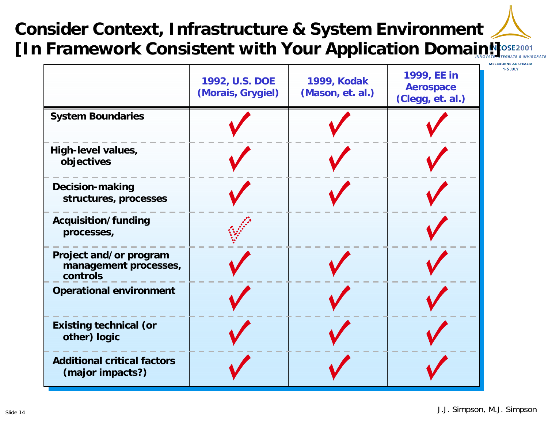## **Consider Context, Infrastructure & System Environment [In Framework Consistent with Your Application Domain!]**

|                                                             | 1992, U.S. DOE<br>(Morais, Grygiel) | <b>1999, Kodak</b><br>(Mason, et. al.) | 1999, EE in<br><b>Aerospace</b><br>(Clegg, et. al.) |  |
|-------------------------------------------------------------|-------------------------------------|----------------------------------------|-----------------------------------------------------|--|
| <b>System Boundaries</b>                                    |                                     |                                        |                                                     |  |
| High-level values,<br>objectives                            |                                     |                                        |                                                     |  |
| <b>Decision-making</b><br>structures, processes             |                                     |                                        |                                                     |  |
| Acquisition/funding<br>processes,                           |                                     |                                        |                                                     |  |
| Project and/or program<br>management processes,<br>controls |                                     |                                        |                                                     |  |
| <b>Operational environment</b>                              |                                     |                                        |                                                     |  |
| <b>Existing technical (or</b><br>other) logic               |                                     |                                        |                                                     |  |
| <b>Additional critical factors</b><br>(major impacts?)      |                                     |                                        |                                                     |  |